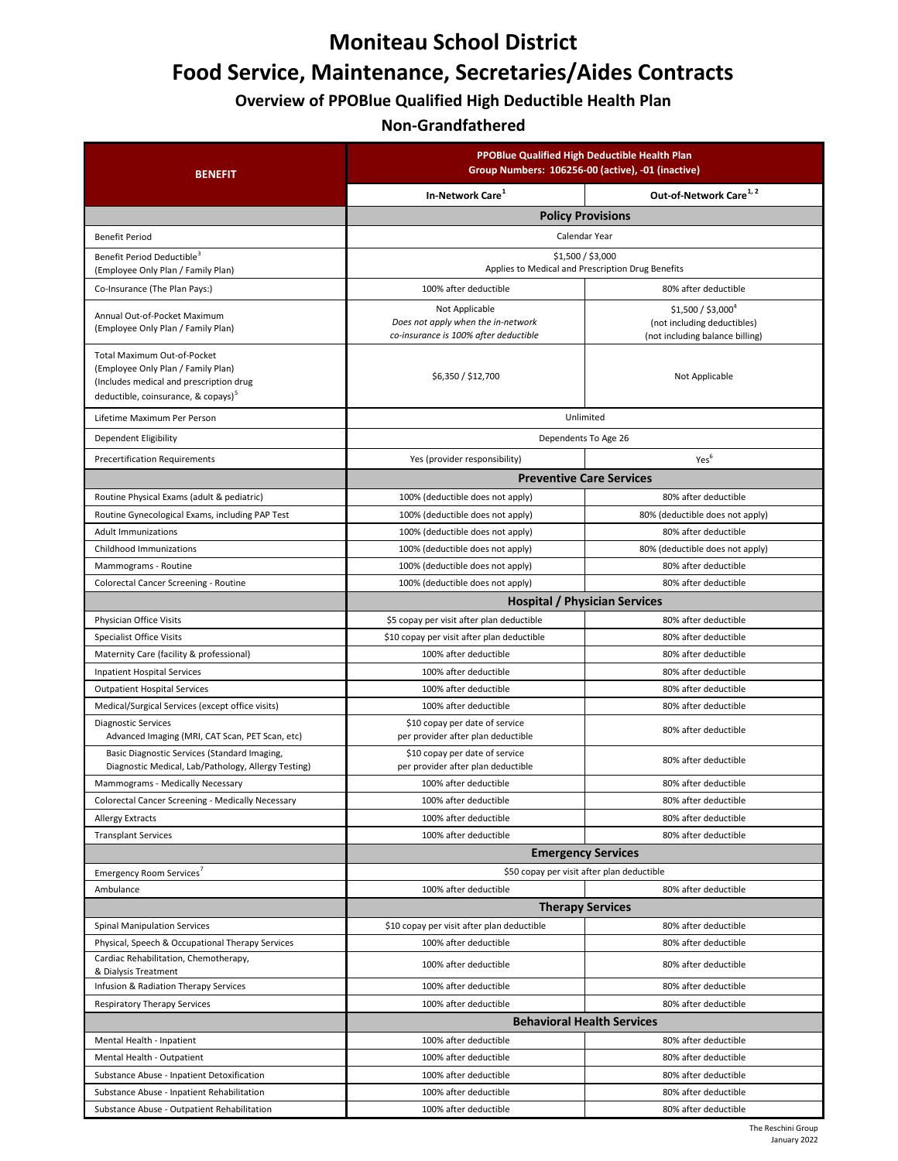# **Moniteau School District Food Service, Maintenance, Secretaries/Aides Contracts**

**Overview of PPOBlue Qualified High Deductible Health Plan**

### **Non-Grandfathered**

| <b>BENEFIT</b>                                                                                                                                                  | PPOBlue Qualified High Deductible Health Plan<br>Group Numbers: 106256-00 (active), -01 (inactive) |                                                                                       |
|-----------------------------------------------------------------------------------------------------------------------------------------------------------------|----------------------------------------------------------------------------------------------------|---------------------------------------------------------------------------------------|
|                                                                                                                                                                 | In-Network Care <sup>1</sup>                                                                       | Out-of-Network Care <sup>1, 2</sup>                                                   |
|                                                                                                                                                                 | <b>Policy Provisions</b>                                                                           |                                                                                       |
| <b>Benefit Period</b>                                                                                                                                           | Calendar Year                                                                                      |                                                                                       |
| Benefit Period Deductible <sup>3</sup><br>(Employee Only Plan / Family Plan)                                                                                    | \$1,500 / \$3,000<br>Applies to Medical and Prescription Drug Benefits                             |                                                                                       |
| Co-Insurance (The Plan Pays:)                                                                                                                                   | 100% after deductible                                                                              | 80% after deductible                                                                  |
| Annual Out-of-Pocket Maximum<br>(Employee Only Plan / Family Plan)                                                                                              | Not Applicable<br>Does not apply when the in-network<br>co-insurance is 100% after deductible      | $$1,500 / $3,000^4$<br>(not including deductibles)<br>(not including balance billing) |
| Total Maximum Out-of-Pocket<br>(Employee Only Plan / Family Plan)<br>(Includes medical and prescription drug<br>deductible, coinsurance, & copays) <sup>3</sup> | \$6,350 / \$12,700                                                                                 | Not Applicable                                                                        |
| Lifetime Maximum Per Person                                                                                                                                     | Unlimited                                                                                          |                                                                                       |
| Dependent Eligibility                                                                                                                                           | Dependents To Age 26                                                                               |                                                                                       |
| <b>Precertification Requirements</b>                                                                                                                            | Yes (provider responsibility)                                                                      | Yes <sup>6</sup>                                                                      |
|                                                                                                                                                                 | <b>Preventive Care Services</b>                                                                    |                                                                                       |
| Routine Physical Exams (adult & pediatric)                                                                                                                      | 100% (deductible does not apply)                                                                   | 80% after deductible                                                                  |
| Routine Gynecological Exams, including PAP Test                                                                                                                 | 100% (deductible does not apply)                                                                   | 80% (deductible does not apply)                                                       |
| <b>Adult Immunizations</b>                                                                                                                                      | 100% (deductible does not apply)                                                                   | 80% after deductible                                                                  |
| Childhood Immunizations                                                                                                                                         | 100% (deductible does not apply)                                                                   | 80% (deductible does not apply)                                                       |
| Mammograms - Routine                                                                                                                                            | 100% (deductible does not apply)                                                                   | 80% after deductible                                                                  |
| Colorectal Cancer Screening - Routine                                                                                                                           | 100% (deductible does not apply)                                                                   | 80% after deductible                                                                  |
|                                                                                                                                                                 | <b>Hospital / Physician Services</b>                                                               |                                                                                       |
| Physician Office Visits                                                                                                                                         | \$5 copay per visit after plan deductible                                                          | 80% after deductible                                                                  |
| Specialist Office Visits                                                                                                                                        | \$10 copay per visit after plan deductible                                                         | 80% after deductible                                                                  |
| Maternity Care (facility & professional)                                                                                                                        | 100% after deductible                                                                              | 80% after deductible                                                                  |
| <b>Inpatient Hospital Services</b>                                                                                                                              | 100% after deductible                                                                              | 80% after deductible                                                                  |
| <b>Outpatient Hospital Services</b>                                                                                                                             | 100% after deductible                                                                              | 80% after deductible                                                                  |
| Medical/Surgical Services (except office visits)                                                                                                                | 100% after deductible                                                                              | 80% after deductible                                                                  |
| <b>Diagnostic Services</b><br>Advanced Imaging (MRI, CAT Scan, PET Scan, etc)                                                                                   | \$10 copay per date of service<br>per provider after plan deductible                               | 80% after deductible                                                                  |
| Basic Diagnostic Services (Standard Imaging,<br>Diagnostic Medical, Lab/Pathology, Allergy Testing)                                                             | \$10 copay per date of service<br>per provider after plan deductible                               | 80% after deductible                                                                  |
| Mammograms - Medically Necessary                                                                                                                                | 100% after deductible                                                                              | 80% after deductible                                                                  |
| Colorectal Cancer Screening - Medically Necessary                                                                                                               | 100% after deductible                                                                              | 80% after deductible                                                                  |
| <b>Allergy Extracts</b>                                                                                                                                         | 100% after deductible                                                                              | 80% after deductible                                                                  |
| <b>Transplant Services</b>                                                                                                                                      | 100% after deductible                                                                              | 80% after deductible                                                                  |
|                                                                                                                                                                 | <b>Emergency Services</b>                                                                          |                                                                                       |
| Emergency Room Services <sup>7</sup>                                                                                                                            | \$50 copay per visit after plan deductible                                                         |                                                                                       |
| Ambulance                                                                                                                                                       | 100% after deductible                                                                              | 80% after deductible                                                                  |
|                                                                                                                                                                 | <b>Therapy Services</b>                                                                            |                                                                                       |
| <b>Spinal Manipulation Services</b>                                                                                                                             | \$10 copay per visit after plan deductible                                                         | 80% after deductible                                                                  |
| Physical, Speech & Occupational Therapy Services                                                                                                                | 100% after deductible                                                                              | 80% after deductible                                                                  |
| Cardiac Rehabilitation, Chemotherapy,<br>& Dialysis Treatment                                                                                                   | 100% after deductible                                                                              | 80% after deductible                                                                  |
| Infusion & Radiation Therapy Services                                                                                                                           | 100% after deductible                                                                              | 80% after deductible                                                                  |
| Respiratory Therapy Services                                                                                                                                    | 100% after deductible                                                                              | 80% after deductible                                                                  |
|                                                                                                                                                                 | <b>Behavioral Health Services</b>                                                                  |                                                                                       |
| Mental Health - Inpatient                                                                                                                                       | 100% after deductible                                                                              | 80% after deductible                                                                  |
| Mental Health - Outpatient                                                                                                                                      | 100% after deductible                                                                              | 80% after deductible                                                                  |
| Substance Abuse - Inpatient Detoxification                                                                                                                      | 100% after deductible                                                                              | 80% after deductible                                                                  |
| Substance Abuse - Inpatient Rehabilitation                                                                                                                      | 100% after deductible                                                                              | 80% after deductible                                                                  |
| Substance Abuse - Outpatient Rehabilitation                                                                                                                     | 100% after deductible                                                                              | 80% after deductible                                                                  |